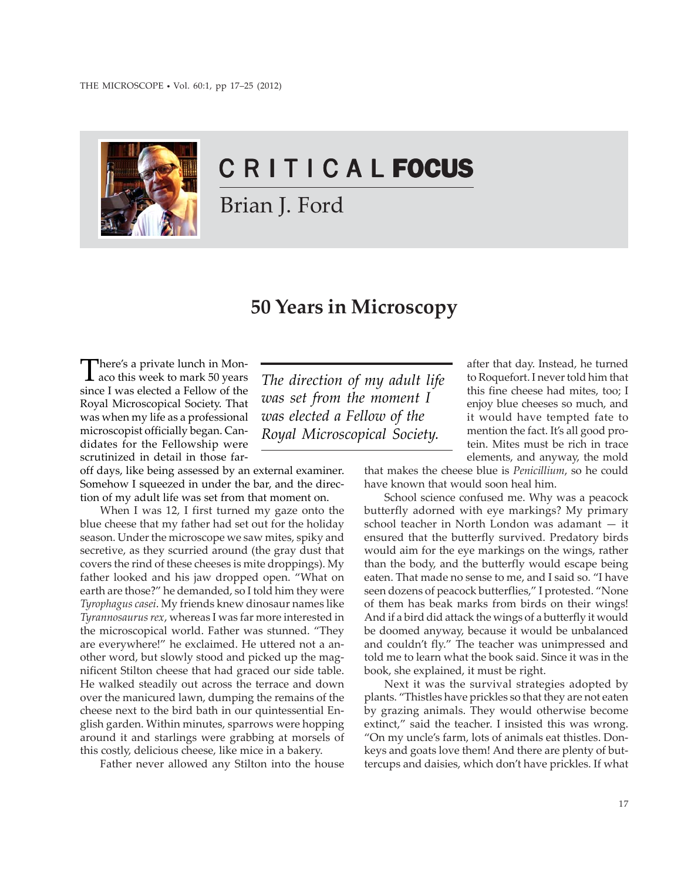

# C R I T I C A L FOCUS

Brian J. Ford

# **50 Years in Microscopy**

There's a private lunch in Mon-<br>aco this week to mark 50 years since I was elected a Fellow of the Royal Microscopical Society. That was when my life as a professional microscopist officially began. Candidates for the Fellowship were scrutinized in detail in those far-

off days, like being assessed by an external examiner. Somehow I squeezed in under the bar, and the direction of my adult life was set from that moment on.

When I was 12, I first turned my gaze onto the blue cheese that my father had set out for the holiday season. Under the microscope we saw mites, spiky and secretive, as they scurried around (the gray dust that covers the rind of these cheeses is mite droppings). My father looked and his jaw dropped open. "What on earth are those?" he demanded, so I told him they were *Tyrophagus casei*. My friends knew dinosaur names like *Tyrannosaurus rex*, whereas I was far more interested in the microscopical world. Father was stunned. "They are everywhere!" he exclaimed. He uttered not a another word, but slowly stood and picked up the magnificent Stilton cheese that had graced our side table. He walked steadily out across the terrace and down over the manicured lawn, dumping the remains of the cheese next to the bird bath in our quintessential English garden. Within minutes, sparrows were hopping around it and starlings were grabbing at morsels of this costly, delicious cheese, like mice in a bakery.

Father never allowed any Stilton into the house

*The direction of my adult life was set from the moment I was elected a Fellow of the Royal Microscopical Society.*

after that day. Instead, he turned to Roquefort. I never told him that this fine cheese had mites, too; I enjoy blue cheeses so much, and it would have tempted fate to mention the fact. It's all good protein. Mites must be rich in trace elements, and anyway, the mold

that makes the cheese blue is *Penicillium*, so he could have known that would soon heal him.

School science confused me. Why was a peacock butterfly adorned with eye markings? My primary school teacher in North London was adamant — it ensured that the butterfly survived. Predatory birds would aim for the eye markings on the wings, rather than the body, and the butterfly would escape being eaten. That made no sense to me, and I said so. "I have seen dozens of peacock butterflies," I protested. "None of them has beak marks from birds on their wings! And if a bird did attack the wings of a butterfly it would be doomed anyway, because it would be unbalanced and couldn't fly." The teacher was unimpressed and told me to learn what the book said. Since it was in the book, she explained, it must be right.

Next it was the survival strategies adopted by plants. "Thistles have prickles so that they are not eaten by grazing animals. They would otherwise become extinct," said the teacher. I insisted this was wrong. "On my uncle's farm, lots of animals eat thistles. Donkeys and goats love them! And there are plenty of buttercups and daisies, which don't have prickles. If what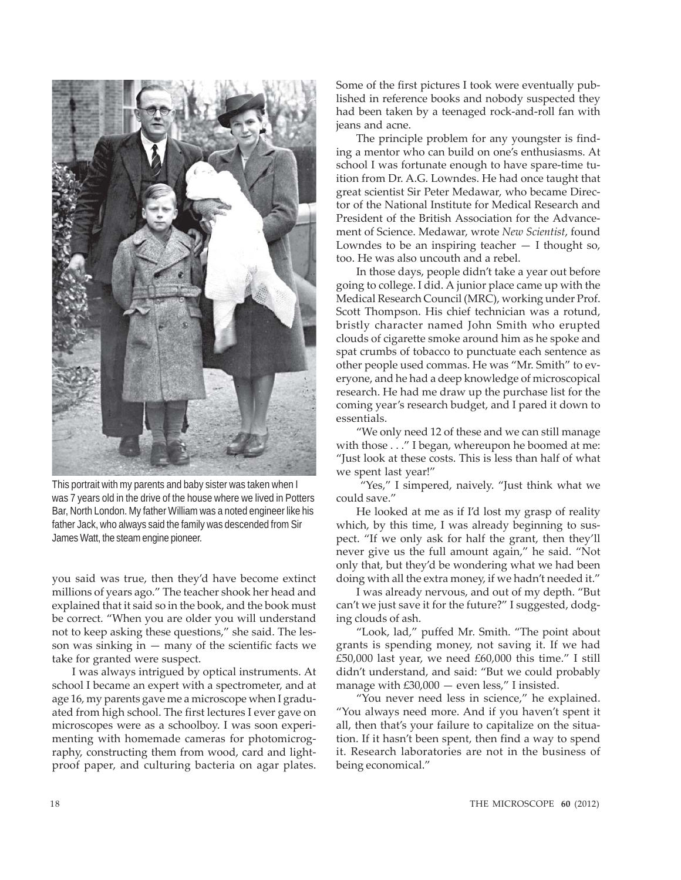

This portrait with my parents and baby sister was taken when I was 7 years old in the drive of the house where we lived in Potters Bar, North London. My father William was a noted engineer like his father Jack, who always said the family was descended from Sir James Watt, the steam engine pioneer.

you said was true, then they'd have become extinct millions of years ago." The teacher shook her head and explained that it said so in the book, and the book must be correct. "When you are older you will understand not to keep asking these questions," she said. The lesson was sinking in  $-$  many of the scientific facts we take for granted were suspect.

I was always intrigued by optical instruments. At school I became an expert with a spectrometer, and at age 16, my parents gave me a microscope when I graduated from high school. The first lectures I ever gave on microscopes were as a schoolboy. I was soon experimenting with homemade cameras for photomicrography, constructing them from wood, card and lightproof paper, and culturing bacteria on agar plates.

Some of the first pictures I took were eventually published in reference books and nobody suspected they had been taken by a teenaged rock-and-roll fan with jeans and acne.

The principle problem for any youngster is finding a mentor who can build on one's enthusiasms. At school I was fortunate enough to have spare-time tuition from Dr. A.G. Lowndes. He had once taught that great scientist Sir Peter Medawar, who became Director of the National Institute for Medical Research and President of the British Association for the Advancement of Science. Medawar, wrote *New Scientist*, found Lowndes to be an inspiring teacher  $-$  I thought so, too. He was also uncouth and a rebel.

In those days, people didn't take a year out before going to college. I did. A junior place came up with the Medical Research Council (MRC), working under Prof. Scott Thompson. His chief technician was a rotund, bristly character named John Smith who erupted clouds of cigarette smoke around him as he spoke and spat crumbs of tobacco to punctuate each sentence as other people used commas. He was "Mr. Smith" to everyone, and he had a deep knowledge of microscopical research. He had me draw up the purchase list for the coming year's research budget, and I pared it down to essentials.

"We only need 12 of these and we can still manage with those . . ." I began, whereupon he boomed at me: "Just look at these costs. This is less than half of what we spent last year!"

 "Yes," I simpered, naively. "Just think what we could save."

He looked at me as if I'd lost my grasp of reality which, by this time, I was already beginning to suspect. "If we only ask for half the grant, then they'll never give us the full amount again," he said. "Not only that, but they'd be wondering what we had been doing with all the extra money, if we hadn't needed it."

I was already nervous, and out of my depth. "But can't we just save it for the future?" I suggested, dodging clouds of ash.

"Look, lad," puffed Mr. Smith. "The point about grants is spending money, not saving it. If we had £50,000 last year, we need £60,000 this time." I still didn't understand, and said: "But we could probably manage with  $£30,000$  - even less," I insisted.

"You never need less in science," he explained. "You always need more. And if you haven't spent it all, then that's your failure to capitalize on the situation. If it hasn't been spent, then find a way to spend it. Research laboratories are not in the business of being economical."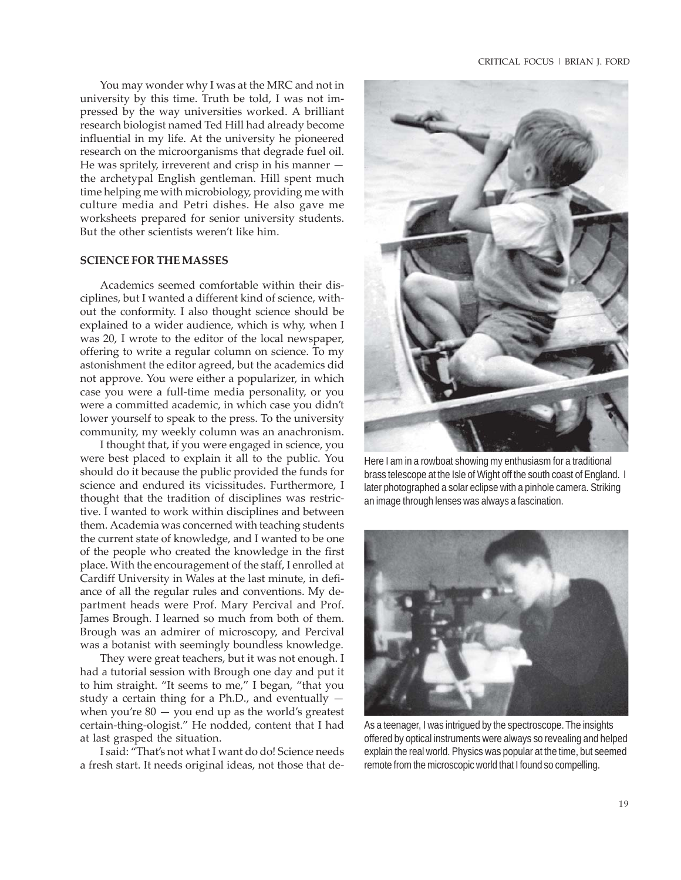You may wonder why I was at the MRC and not in university by this time. Truth be told, I was not impressed by the way universities worked. A brilliant research biologist named Ted Hill had already become influential in my life. At the university he pioneered research on the microorganisms that degrade fuel oil. He was spritely, irreverent and crisp in his manner the archetypal English gentleman. Hill spent much time helping me with microbiology, providing me with culture media and Petri dishes. He also gave me worksheets prepared for senior university students. But the other scientists weren't like him.

#### **SCIENCE FOR THE MASSES**

Academics seemed comfortable within their disciplines, but I wanted a different kind of science, without the conformity. I also thought science should be explained to a wider audience, which is why, when I was 20, I wrote to the editor of the local newspaper, offering to write a regular column on science. To my astonishment the editor agreed, but the academics did not approve. You were either a popularizer, in which case you were a full-time media personality, or you were a committed academic, in which case you didn't lower yourself to speak to the press. To the university community, my weekly column was an anachronism.

I thought that, if you were engaged in science, you were best placed to explain it all to the public. You should do it because the public provided the funds for science and endured its vicissitudes. Furthermore, I thought that the tradition of disciplines was restrictive. I wanted to work within disciplines and between them. Academia was concerned with teaching students the current state of knowledge, and I wanted to be one of the people who created the knowledge in the first place. With the encouragement of the staff, I enrolled at Cardiff University in Wales at the last minute, in defiance of all the regular rules and conventions. My department heads were Prof. Mary Percival and Prof. James Brough. I learned so much from both of them. Brough was an admirer of microscopy, and Percival was a botanist with seemingly boundless knowledge.

They were great teachers, but it was not enough. I had a tutorial session with Brough one day and put it to him straight. "It seems to me," I began, "that you study a certain thing for a Ph.D., and eventually when you're  $80 -$  you end up as the world's greatest certain-thing-ologist." He nodded, content that I had at last grasped the situation.

I said: "That's not what I want do do! Science needs a fresh start. It needs original ideas, not those that de-



Here I am in a rowboat showing my enthusiasm for a traditional brass telescope at the Isle of Wight off the south coast of England. I later photographed a solar eclipse with a pinhole camera. Striking an image through lenses was always a fascination.



As a teenager, I was intrigued by the spectroscope. The insights offered by optical instruments were always so revealing and helped explain the real world. Physics was popular at the time, but seemed remote from the microscopic world that I found so compelling.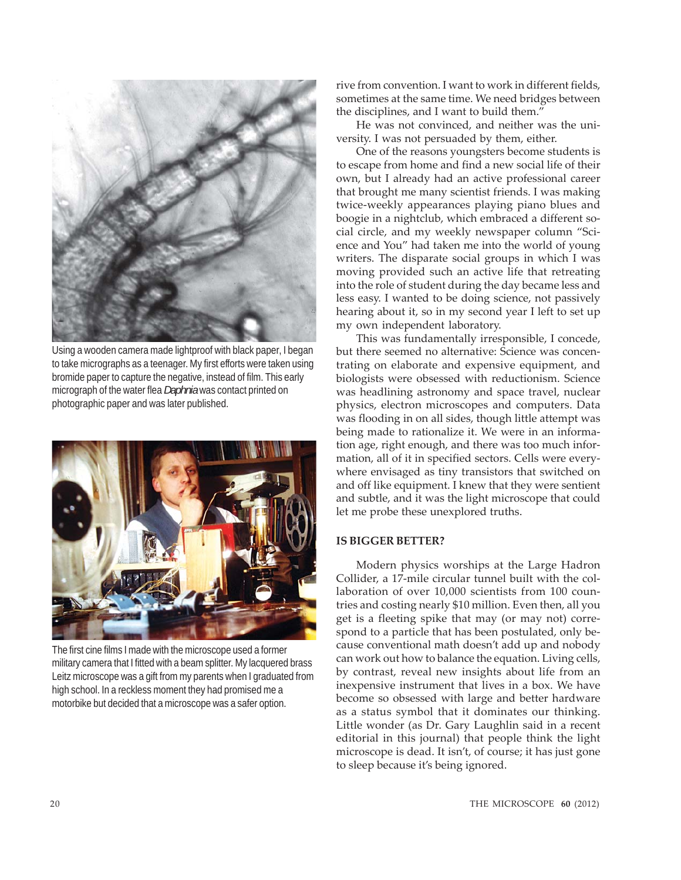

Using a wooden camera made lightproof with black paper, I began to take micrographs as a teenager. My first efforts were taken using bromide paper to capture the negative, instead of film. This early micrograph of the water flea *Daphnia* was contact printed on photographic paper and was later published.



The first cine films I made with the microscope used a former military camera that I fitted with a beam splitter. My lacquered brass Leitz microscope was a gift from my parents when I graduated from high school. In a reckless moment they had promised me a motorbike but decided that a microscope was a safer option.

rive from convention. I want to work in different fields, sometimes at the same time. We need bridges between the disciplines, and I want to build them."

He was not convinced, and neither was the university. I was not persuaded by them, either.

One of the reasons youngsters become students is to escape from home and find a new social life of their own, but I already had an active professional career that brought me many scientist friends. I was making twice-weekly appearances playing piano blues and boogie in a nightclub, which embraced a different social circle, and my weekly newspaper column "Science and You" had taken me into the world of young writers. The disparate social groups in which I was moving provided such an active life that retreating into the role of student during the day became less and less easy. I wanted to be doing science, not passively hearing about it, so in my second year I left to set up my own independent laboratory.

This was fundamentally irresponsible, I concede, but there seemed no alternative: Science was concentrating on elaborate and expensive equipment, and biologists were obsessed with reductionism. Science was headlining astronomy and space travel, nuclear physics, electron microscopes and computers. Data was flooding in on all sides, though little attempt was being made to rationalize it. We were in an information age, right enough, and there was too much information, all of it in specified sectors. Cells were everywhere envisaged as tiny transistors that switched on and off like equipment. I knew that they were sentient and subtle, and it was the light microscope that could let me probe these unexplored truths.

# **IS BIGGER BETTER?**

Modern physics worships at the Large Hadron Collider, a 17-mile circular tunnel built with the collaboration of over 10,000 scientists from 100 countries and costing nearly \$10 million. Even then, all you get is a fleeting spike that may (or may not) correspond to a particle that has been postulated, only because conventional math doesn't add up and nobody can work out how to balance the equation. Living cells, by contrast, reveal new insights about life from an inexpensive instrument that lives in a box. We have become so obsessed with large and better hardware as a status symbol that it dominates our thinking. Little wonder (as Dr. Gary Laughlin said in a recent editorial in this journal) that people think the light microscope is dead. It isn't, of course; it has just gone to sleep because it's being ignored.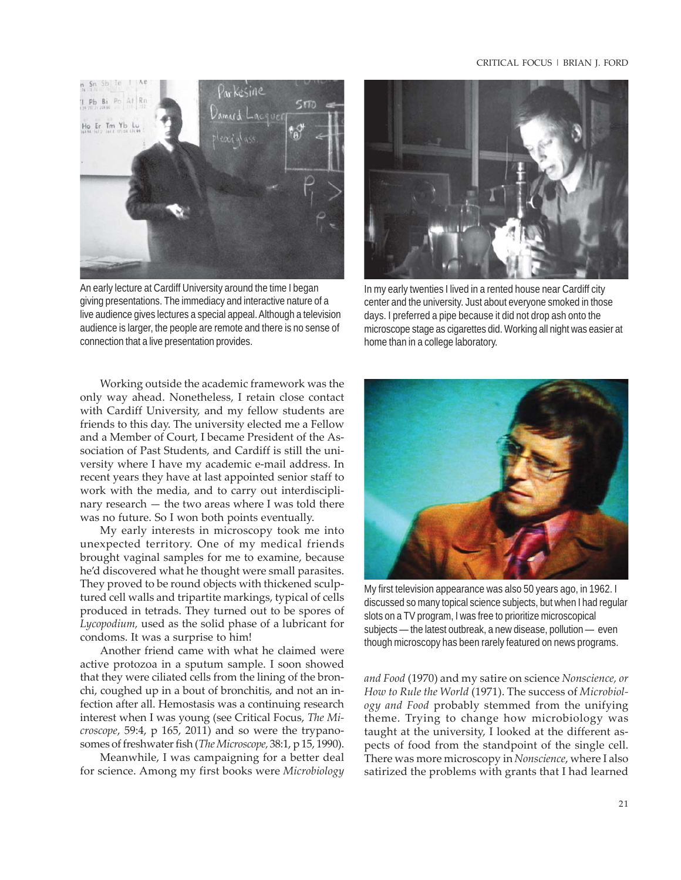#### CRITICAL FOCUS | BRIAN J. FORD



An early lecture at Cardiff University around the time I began giving presentations. The immediacy and interactive nature of a live audience gives lectures a special appeal. Although a television audience is larger, the people are remote and there is no sense of connection that a live presentation provides.

Working outside the academic framework was the only way ahead. Nonetheless, I retain close contact with Cardiff University, and my fellow students are friends to this day. The university elected me a Fellow and a Member of Court, I became President of the Association of Past Students, and Cardiff is still the university where I have my academic e-mail address. In recent years they have at last appointed senior staff to work with the media, and to carry out interdisciplinary research — the two areas where I was told there was no future. So I won both points eventually.

My early interests in microscopy took me into unexpected territory. One of my medical friends brought vaginal samples for me to examine, because he'd discovered what he thought were small parasites. They proved to be round objects with thickened sculptured cell walls and tripartite markings, typical of cells produced in tetrads. They turned out to be spores of *Lycopodium,* used as the solid phase of a lubricant for condoms. It was a surprise to him!

Another friend came with what he claimed were active protozoa in a sputum sample. I soon showed that they were ciliated cells from the lining of the bronchi, coughed up in a bout of bronchitis, and not an infection after all. Hemostasis was a continuing research interest when I was young (see Critical Focus, *The Microscope*, 59:4, p 165, 2011) and so were the trypanosomes of freshwater fish (*The Microscope,* 38:1, p 15, 1990).

Meanwhile, I was campaigning for a better deal for science. Among my first books were *Microbiology*



In my early twenties I lived in a rented house near Cardiff city center and the university. Just about everyone smoked in those days. I preferred a pipe because it did not drop ash onto the microscope stage as cigarettes did. Working all night was easier at home than in a college laboratory.



My first television appearance was also 50 years ago, in 1962. I discussed so many topical science subjects, but when I had regular slots on a TV program, I was free to prioritize microscopical subjects — the latest outbreak, a new disease, pollution — even though microscopy has been rarely featured on news programs.

*and Food* (1970) and my satire on science *Nonscience, or How to Rule the World* (1971). The success of *Microbiology and Food* probably stemmed from the unifying theme. Trying to change how microbiology was taught at the university, I looked at the different aspects of food from the standpoint of the single cell. There was more microscopy in *Nonscience*, where I also satirized the problems with grants that I had learned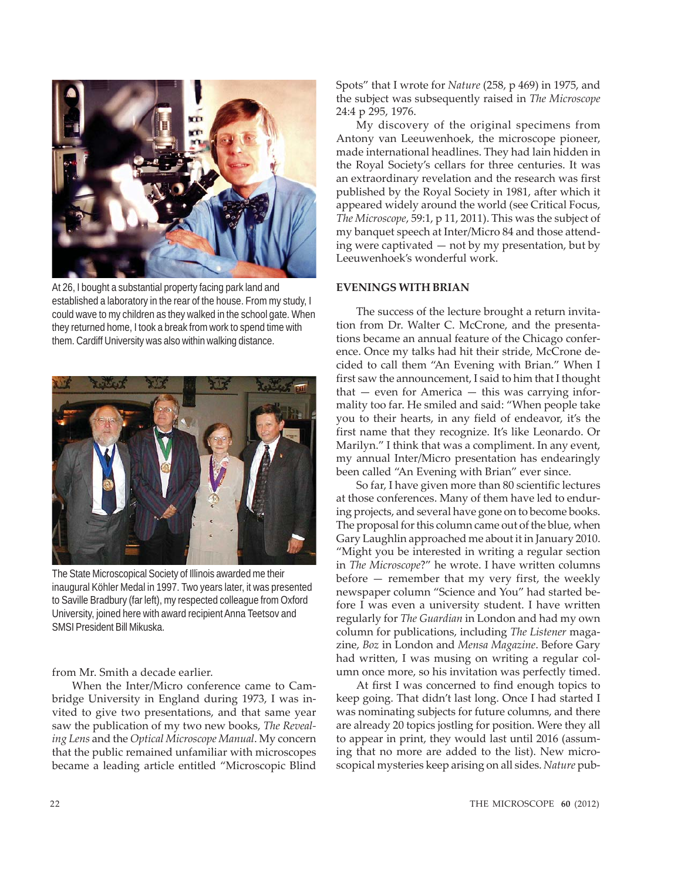

At 26, I bought a substantial property facing park land and established a laboratory in the rear of the house. From my study, I could wave to my children as they walked in the school gate. When they returned home, I took a break from work to spend time with them. Cardiff University was also within walking distance.



The State Microscopical Society of Illinois awarded me their inaugural Köhler Medal in 1997. Two years later, it was presented to Saville Bradbury (far left), my respected colleague from Oxford University, joined here with award recipient Anna Teetsov and SMSI President Bill Mikuska.

from Mr. Smith a decade earlier.

When the Inter/Micro conference came to Cambridge University in England during 1973, I was invited to give two presentations, and that same year saw the publication of my two new books, *The Revealing Lens* and the *Optical Microscope Manual*. My concern that the public remained unfamiliar with microscopes became a leading article entitled "Microscopic Blind Spots" that I wrote for *Nature* (258, p 469) in 1975, and the subject was subsequently raised in *The Microscope* 24:4 p 295, 1976.

My discovery of the original specimens from Antony van Leeuwenhoek, the microscope pioneer, made international headlines. They had lain hidden in the Royal Society's cellars for three centuries. It was an extraordinary revelation and the research was first published by the Royal Society in 1981, after which it appeared widely around the world (see Critical Focus, *The Microscope*, 59:1, p 11, 2011). This was the subject of my banquet speech at Inter/Micro 84 and those attending were captivated — not by my presentation, but by Leeuwenhoek's wonderful work.

## **EVENINGS WITH BRIAN**

The success of the lecture brought a return invitation from Dr. Walter C. McCrone, and the presentations became an annual feature of the Chicago conference. Once my talks had hit their stride, McCrone decided to call them "An Evening with Brian." When I first saw the announcement, I said to him that I thought that — even for America — this was carrying informality too far. He smiled and said: "When people take you to their hearts, in any field of endeavor, it's the first name that they recognize. It's like Leonardo. Or Marilyn." I think that was a compliment. In any event, my annual Inter/Micro presentation has endearingly been called "An Evening with Brian" ever since.

So far, I have given more than 80 scientific lectures at those conferences. Many of them have led to enduring projects, and several have gone on to become books. The proposal for this column came out of the blue, when Gary Laughlin approached me about it in January 2010. "Might you be interested in writing a regular section in *The Microscope*?" he wrote. I have written columns before — remember that my very first, the weekly newspaper column "Science and You" had started before I was even a university student. I have written regularly for *The Guardian* in London and had my own column for publications, including *The Listener* magazine, *Boz* in London and *Mensa Magazine*. Before Gary had written, I was musing on writing a regular column once more, so his invitation was perfectly timed.

At first I was concerned to find enough topics to keep going. That didn't last long. Once I had started I was nominating subjects for future columns, and there are already 20 topics jostling for position. Were they all to appear in print, they would last until 2016 (assuming that no more are added to the list). New microscopical mysteries keep arising on all sides. *Nature* pub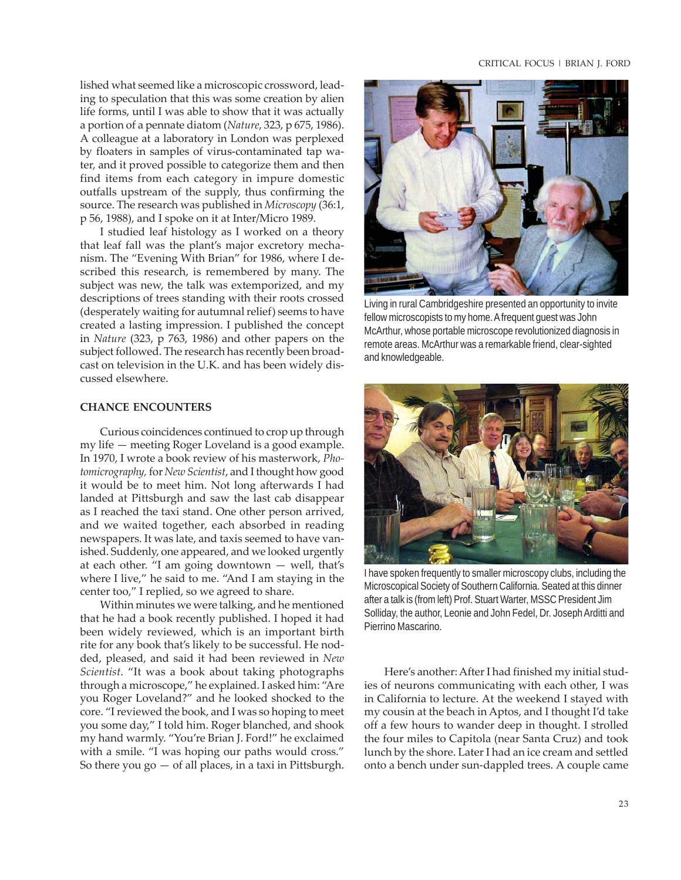lished what seemed like a microscopic crossword, leading to speculation that this was some creation by alien life forms, until I was able to show that it was actually a portion of a pennate diatom (*Nature*, 323, p 675, 1986). A colleague at a laboratory in London was perplexed by floaters in samples of virus-contaminated tap water, and it proved possible to categorize them and then find items from each category in impure domestic outfalls upstream of the supply, thus confirming the source. The research was published in *Microscopy* (36:1, p 56, 1988), and I spoke on it at Inter/Micro 1989.

I studied leaf histology as I worked on a theory that leaf fall was the plant's major excretory mechanism. The "Evening With Brian" for 1986, where I described this research, is remembered by many. The subject was new, the talk was extemporized, and my descriptions of trees standing with their roots crossed (desperately waiting for autumnal relief) seems to have created a lasting impression. I published the concept in *Nature* (323, p 763, 1986) and other papers on the subject followed. The research has recently been broadcast on television in the U.K. and has been widely discussed elsewhere.

#### **CHANCE ENCOUNTERS**

Curious coincidences continued to crop up through my life — meeting Roger Loveland is a good example. In 1970, I wrote a book review of his masterwork, *Photomicrography,* for *New Scientist*, and I thought how good it would be to meet him. Not long afterwards I had landed at Pittsburgh and saw the last cab disappear as I reached the taxi stand. One other person arrived, and we waited together, each absorbed in reading newspapers. It was late, and taxis seemed to have vanished. Suddenly, one appeared, and we looked urgently at each other. "I am going downtown — well, that's where I live," he said to me. "And I am staying in the center too," I replied, so we agreed to share.

Within minutes we were talking, and he mentioned that he had a book recently published. I hoped it had been widely reviewed, which is an important birth rite for any book that's likely to be successful. He nodded, pleased, and said it had been reviewed in *New Scientist*. "It was a book about taking photographs through a microscope," he explained. I asked him: "Are you Roger Loveland?" and he looked shocked to the core. "I reviewed the book, and I was so hoping to meet you some day," I told him. Roger blanched, and shook my hand warmly. "You're Brian J. Ford!" he exclaimed with a smile. "I was hoping our paths would cross." So there you  $go - of$  all places, in a taxi in Pittsburgh.



Living in rural Cambridgeshire presented an opportunity to invite fellow microscopists to my home. A frequent guest was John McArthur, whose portable microscope revolutionized diagnosis in remote areas. McArthur was a remarkable friend, clear-sighted and knowledgeable.



I have spoken frequently to smaller microscopy clubs, including the Microscopical Society of Southern California. Seated at this dinner after a talk is (from left) Prof. Stuart Warter, MSSC President Jim Solliday, the author, Leonie and John Fedel, Dr. Joseph Arditti and Pierrino Mascarino.

Here's another: After I had finished my initial studies of neurons communicating with each other, I was in California to lecture. At the weekend I stayed with my cousin at the beach in Aptos, and I thought I'd take off a few hours to wander deep in thought. I strolled the four miles to Capitola (near Santa Cruz) and took lunch by the shore. Later I had an ice cream and settled onto a bench under sun-dappled trees. A couple came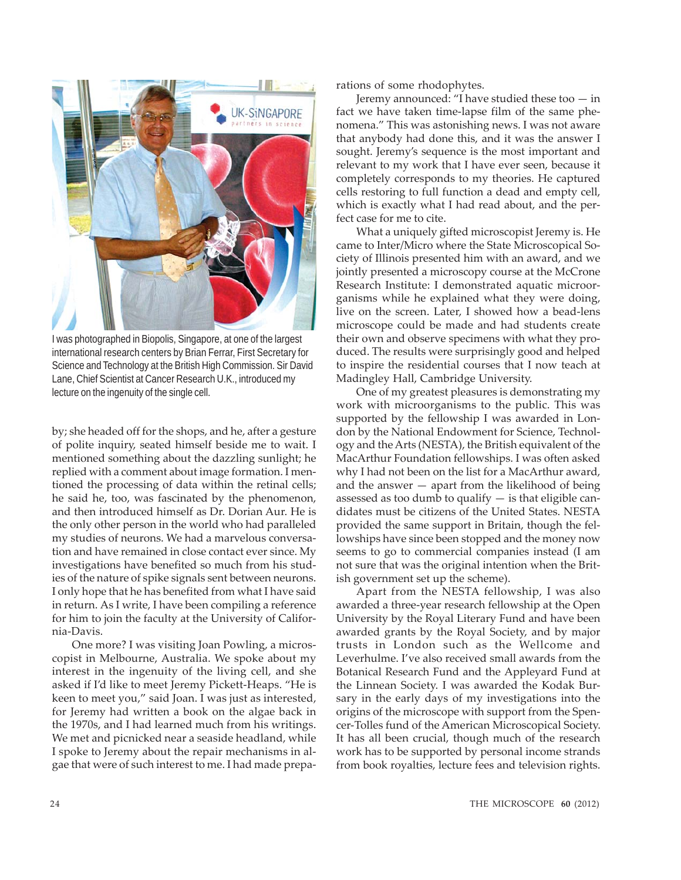

I was photographed in Biopolis, Singapore, at one of the largest international research centers by Brian Ferrar, First Secretary for Science and Technology at the British High Commission. Sir David Lane, Chief Scientist at Cancer Research U.K., introduced my lecture on the ingenuity of the single cell.

by; she headed off for the shops, and he, after a gesture of polite inquiry, seated himself beside me to wait. I mentioned something about the dazzling sunlight; he replied with a comment about image formation. I mentioned the processing of data within the retinal cells; he said he, too, was fascinated by the phenomenon, and then introduced himself as Dr. Dorian Aur. He is the only other person in the world who had paralleled my studies of neurons. We had a marvelous conversation and have remained in close contact ever since. My investigations have benefited so much from his studies of the nature of spike signals sent between neurons. I only hope that he has benefited from what I have said in return. As I write, I have been compiling a reference for him to join the faculty at the University of California-Davis.

One more? I was visiting Joan Powling, a microscopist in Melbourne, Australia. We spoke about my interest in the ingenuity of the living cell, and she asked if I'd like to meet Jeremy Pickett-Heaps. "He is keen to meet you," said Joan. I was just as interested, for Jeremy had written a book on the algae back in the 1970s, and I had learned much from his writings. We met and picnicked near a seaside headland, while I spoke to Jeremy about the repair mechanisms in algae that were of such interest to me. I had made preparations of some rhodophytes.

Jeremy announced: "I have studied these too  $-$  in fact we have taken time-lapse film of the same phenomena." This was astonishing news. I was not aware that anybody had done this, and it was the answer I sought. Jeremy's sequence is the most important and relevant to my work that I have ever seen, because it completely corresponds to my theories. He captured cells restoring to full function a dead and empty cell, which is exactly what I had read about, and the perfect case for me to cite.

What a uniquely gifted microscopist Jeremy is. He came to Inter/Micro where the State Microscopical Society of Illinois presented him with an award, and we jointly presented a microscopy course at the McCrone Research Institute: I demonstrated aquatic microorganisms while he explained what they were doing, live on the screen. Later, I showed how a bead-lens microscope could be made and had students create their own and observe specimens with what they produced. The results were surprisingly good and helped to inspire the residential courses that I now teach at Madingley Hall, Cambridge University.

One of my greatest pleasures is demonstrating my work with microorganisms to the public. This was supported by the fellowship I was awarded in London by the National Endowment for Science, Technology and the Arts (NESTA), the British equivalent of the MacArthur Foundation fellowships. I was often asked why I had not been on the list for a MacArthur award, and the answer  $-$  apart from the likelihood of being assessed as too dumb to qualify  $-$  is that eligible candidates must be citizens of the United States. NESTA provided the same support in Britain, though the fellowships have since been stopped and the money now seems to go to commercial companies instead (I am not sure that was the original intention when the British government set up the scheme).

Apart from the NESTA fellowship, I was also awarded a three-year research fellowship at the Open University by the Royal Literary Fund and have been awarded grants by the Royal Society, and by major trusts in London such as the Wellcome and Leverhulme. I've also received small awards from the Botanical Research Fund and the Appleyard Fund at the Linnean Society. I was awarded the Kodak Bursary in the early days of my investigations into the origins of the microscope with support from the Spencer-Tolles fund of the American Microscopical Society. It has all been crucial, though much of the research work has to be supported by personal income strands from book royalties, lecture fees and television rights.